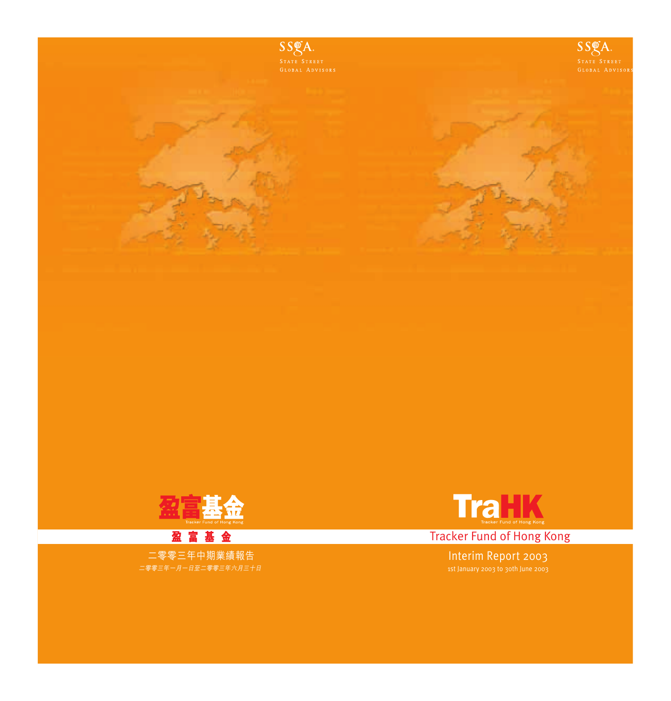



**Tracker Fund of Hong Kong** 

Interim Report 2003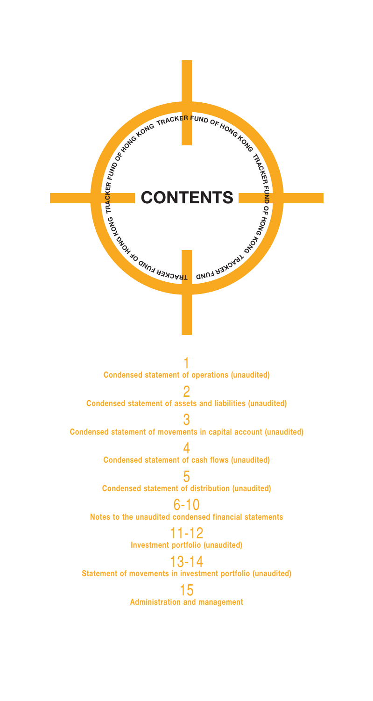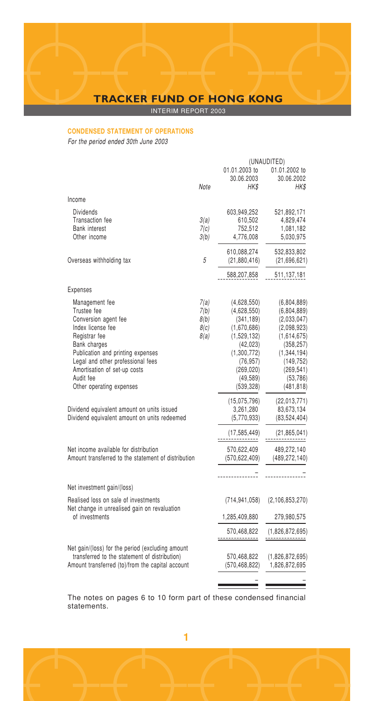INTERIM REPORT 2003

## **CONDENSED STATEMENT OF OPERATIONS**

For the period ended 30th June 2003

|                                                                                                                                                                                                                                                                |                                      |                                                                                                                                                          | (UNAUDITED)                                                                                                                                                 |
|----------------------------------------------------------------------------------------------------------------------------------------------------------------------------------------------------------------------------------------------------------------|--------------------------------------|----------------------------------------------------------------------------------------------------------------------------------------------------------|-------------------------------------------------------------------------------------------------------------------------------------------------------------|
|                                                                                                                                                                                                                                                                | Note                                 | 01.01.2003 to<br>30.06.2003<br>HK\$                                                                                                                      | 01.01.2002 to<br>30.06.2002<br>HK\$                                                                                                                         |
| Income                                                                                                                                                                                                                                                         |                                      |                                                                                                                                                          |                                                                                                                                                             |
| <b>Dividends</b><br>Transaction fee<br>Bank interest<br>Other income                                                                                                                                                                                           | 3(a)<br>7(c)<br>3(b)                 | 603,949,252<br>610.502<br>752,512<br>4,776,008                                                                                                           | 521,892,171<br>4,829,474<br>1,081,182<br>5,030,975                                                                                                          |
| Overseas withholding tax                                                                                                                                                                                                                                       | 5                                    | 610,088,274<br>(21,880,416)                                                                                                                              | 532,833,802<br>(21,696,621)                                                                                                                                 |
|                                                                                                                                                                                                                                                                |                                      | 588,207,858                                                                                                                                              | 511,137,181                                                                                                                                                 |
| Expenses                                                                                                                                                                                                                                                       |                                      |                                                                                                                                                          |                                                                                                                                                             |
| Management fee<br>Trustee fee<br>Conversion agent fee<br>Index license fee<br>Registrar fee<br>Bank charges<br>Publication and printing expenses<br>Legal and other professional fees<br>Amortisation of set-up costs<br>Audit fee<br>Other operating expenses | 7(a)<br>7(b)<br>8(b)<br>8(c)<br>8(a) | (4,628,550)<br>(4,628,550)<br>(341, 189)<br>(1,670,686)<br>(1,529,132)<br>(42, 023)<br>(1,300,772)<br>(76, 957)<br>(269, 020)<br>(49, 589)<br>(539, 328) | (6,804,889)<br>(6,804,889)<br>(2,033,047)<br>(2,098,923)<br>(1,614,675)<br>(358, 257)<br>(1,344,194)<br>(149, 752)<br>(269, 541)<br>(53, 786)<br>(481, 818) |
| Dividend equivalent amount on units issued<br>Dividend equivalent amount on units redeemed                                                                                                                                                                     |                                      | (15,075,796)<br>3,261,280<br>(5,770,933)                                                                                                                 | (22,013,771)<br>83.673.134<br>(83,524,404)                                                                                                                  |
|                                                                                                                                                                                                                                                                |                                      | (17, 585, 449)                                                                                                                                           | (21, 865, 041)                                                                                                                                              |
| Net income available for distribution<br>Amount transferred to the statement of distribution                                                                                                                                                                   |                                      | 570,622,409<br>(570.622.409)                                                                                                                             | 489,272,140<br>(489, 272, 140)                                                                                                                              |
|                                                                                                                                                                                                                                                                |                                      |                                                                                                                                                          |                                                                                                                                                             |
| Net investment gain/(loss)                                                                                                                                                                                                                                     |                                      |                                                                                                                                                          |                                                                                                                                                             |
| Realised loss on sale of investments<br>Net change in unrealised gain on revaluation                                                                                                                                                                           |                                      | (714,941,058)                                                                                                                                            | (2, 106, 853, 270)                                                                                                                                          |
| of investments                                                                                                                                                                                                                                                 |                                      | 1,285,409,880                                                                                                                                            | 279,980,575                                                                                                                                                 |
|                                                                                                                                                                                                                                                                |                                      | 570.468.822<br><u>------------</u>                                                                                                                       | (1.826.872.695)<br>                                                                                                                                         |
| Net gain/(loss) for the period (excluding amount<br>transferred to the statement of distribution)<br>Amount transferred (to)/from the capital account                                                                                                          |                                      | 570,468,822<br>(570, 468, 822)                                                                                                                           | (1,826,872,695)<br>1,826,872,695                                                                                                                            |
|                                                                                                                                                                                                                                                                |                                      |                                                                                                                                                          |                                                                                                                                                             |

The notes on pages 6 to 10 form part of these condensed financial statements.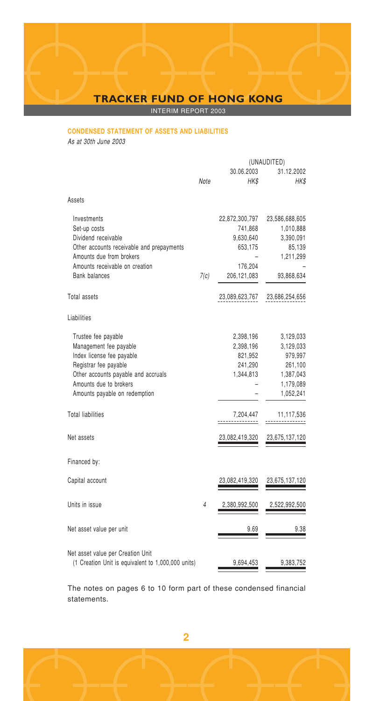INTERIM REPORT 2003

## **CONDENSED STATEMENT OF ASSETS AND LIABILITIES**

As at 30th June 2003

|                                                                                                                                                                                                       |      |                                                                               | (UNAUDITED)                                                                         |
|-------------------------------------------------------------------------------------------------------------------------------------------------------------------------------------------------------|------|-------------------------------------------------------------------------------|-------------------------------------------------------------------------------------|
|                                                                                                                                                                                                       | Note | 30.06.2003<br>HK\$                                                            | 31.12.2002<br>HK\$                                                                  |
| Assets                                                                                                                                                                                                |      |                                                                               |                                                                                     |
| Investments<br>Set-up costs<br>Dividend receivable<br>Other accounts receivable and prepayments<br>Amounts due from brokers<br>Amounts receivable on creation<br><b>Bank balances</b>                 | 7(c) | 22,872,300,797<br>741,868<br>9,630,640<br>653,175<br>176,204<br>206, 121, 083 | 23,586,688,605<br>1,010,888<br>3,390,091<br>85,139<br>1,211,299<br>93,868,634       |
| Total assets                                                                                                                                                                                          |      | 23,089,623,767                                                                | 23,686,254,656                                                                      |
| Liabilities                                                                                                                                                                                           |      |                                                                               |                                                                                     |
| Trustee fee payable<br>Management fee payable<br>Index license fee payable<br>Registrar fee payable<br>Other accounts payable and accruals<br>Amounts due to brokers<br>Amounts payable on redemption |      | 2,398,196<br>2,398,196<br>821,952<br>241,290<br>1,344,813                     | 3,129,033<br>3,129,033<br>979,997<br>261,100<br>1,387,043<br>1,179,089<br>1,052,241 |
| <b>Total liabilities</b>                                                                                                                                                                              |      | 7,204,447<br>-----------                                                      | 11,117,536                                                                          |
| Net assets                                                                                                                                                                                            |      | 23,082,419,320                                                                | 23,675,137,120                                                                      |
| Financed by:                                                                                                                                                                                          |      |                                                                               |                                                                                     |
| Capital account                                                                                                                                                                                       |      | 23,082,419,320                                                                | 23,675,137,120                                                                      |
| Units in issue                                                                                                                                                                                        | 4    | 2,380,992,500                                                                 | 2,522,992,500                                                                       |
| Net asset value per unit                                                                                                                                                                              |      | 9.69                                                                          | 9.38                                                                                |
| Net asset value per Creation Unit<br>(1 Creation Unit is equivalent to 1,000,000 units)                                                                                                               |      | 9,694,453                                                                     | 9,383,752                                                                           |

The notes on pages 6 to 10 form part of these condensed financial statements.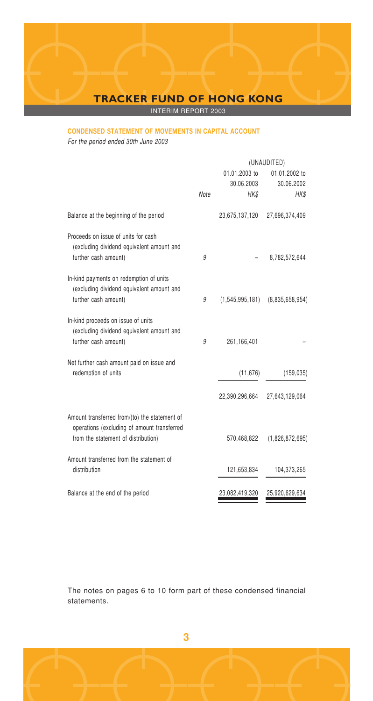INTERIM REPORT 2003

# **CONDENSED STATEMENT OF MOVEMENTS IN CAPITAL ACCOUNT**

For the period ended 30th June 2003

|      | (UNAUDITED)        |                 |  |
|------|--------------------|-----------------|--|
|      | 01.01.2003 to      | 01.01.2002 to   |  |
|      | 30.06.2003         | 30.06.2002      |  |
| Note | HK\$               | HK\$            |  |
|      | 23,675,137,120     | 27,696,374,409  |  |
|      |                    | 8,782,572,644   |  |
|      |                    |                 |  |
|      |                    |                 |  |
| 9    | (1, 545, 995, 181) | (8.835.658.954) |  |
|      |                    |                 |  |
| 9    | 261,166,401        |                 |  |
|      |                    |                 |  |
|      | (11, 676)          | (159, 035)      |  |
|      | 22,390,296,664     | 27,643,129,064  |  |
|      |                    |                 |  |
|      | 570,468,822        | (1,826,872,695) |  |
|      |                    |                 |  |
|      | 121,653,834        | 104,373,265     |  |
|      | 23,082,419,320     | 25,920,629,634  |  |
|      | 9                  |                 |  |

The notes on pages 6 to 10 form part of these condensed financial statements.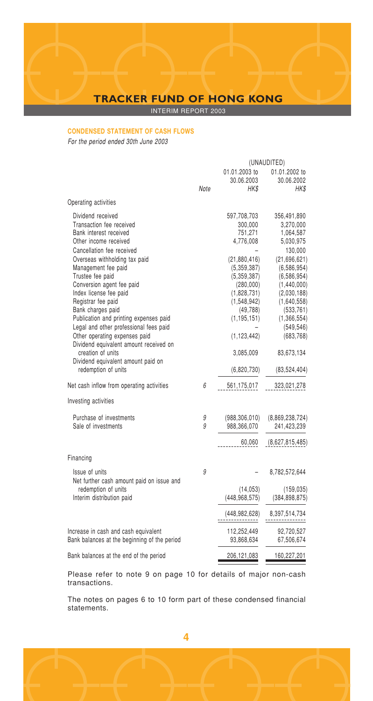INTERIM REPORT 2003

# **CONDENSED STATEMENT OF CASH FLOWS**

For the period ended 30th June 2003

|                                                                                                                                                                                                                                                                                                                                                                                                                                                                                                                                                              | (UNAUDITED) |                                                                                                                                                                                                                    |                                                                                                                                                                                                                                                     |
|--------------------------------------------------------------------------------------------------------------------------------------------------------------------------------------------------------------------------------------------------------------------------------------------------------------------------------------------------------------------------------------------------------------------------------------------------------------------------------------------------------------------------------------------------------------|-------------|--------------------------------------------------------------------------------------------------------------------------------------------------------------------------------------------------------------------|-----------------------------------------------------------------------------------------------------------------------------------------------------------------------------------------------------------------------------------------------------|
|                                                                                                                                                                                                                                                                                                                                                                                                                                                                                                                                                              | Note        | 01.01.2003 to<br>30.06.2003<br>HK\$                                                                                                                                                                                | 01.01.2002 to<br>30.06.2002<br>HK\$                                                                                                                                                                                                                 |
| Operating activities                                                                                                                                                                                                                                                                                                                                                                                                                                                                                                                                         |             |                                                                                                                                                                                                                    |                                                                                                                                                                                                                                                     |
| Dividend received<br>Transaction fee received<br>Bank interest received<br>Other income received<br>Cancellation fee received<br>Overseas withholding tax paid<br>Management fee paid<br>Trustee fee paid<br>Conversion agent fee paid<br>Index license fee paid<br>Registrar fee paid<br>Bank charges paid<br>Publication and printing expenses paid<br>Legal and other professional fees paid<br>Other operating expenses paid<br>Dividend equivalent amount received on<br>creation of units<br>Dividend equivalent amount paid on<br>redemption of units |             | 597,708,703<br>300,000<br>751,271<br>4,776,008<br>(21,880,416)<br>(5.359.387)<br>(5,359,387)<br>(280,000)<br>(1,828,731)<br>(1,548,942)<br>(49, 788)<br>(1, 195, 151)<br>(1, 123, 442)<br>3,085,009<br>(6,820,730) | 356,491,890<br>3,270,000<br>1,064,587<br>5,030,975<br>130,000<br>(21,696,621)<br>(6, 586, 954)<br>(6, 586, 954)<br>(1,440,000)<br>(2,030,188)<br>(1,640,558)<br>(533, 761)<br>(1,366,554)<br>(549, 546)<br>(683, 768)<br>83,673,134<br>(83,524,404) |
| Net cash inflow from operating activities                                                                                                                                                                                                                                                                                                                                                                                                                                                                                                                    | 6           | 561,175,017                                                                                                                                                                                                        | 323,021,278                                                                                                                                                                                                                                         |
| Investing activities                                                                                                                                                                                                                                                                                                                                                                                                                                                                                                                                         |             |                                                                                                                                                                                                                    |                                                                                                                                                                                                                                                     |
| Purchase of investments<br>Sale of investments                                                                                                                                                                                                                                                                                                                                                                                                                                                                                                               | 9<br>9      | (988, 306, 010)<br>988,366,070<br>60,060                                                                                                                                                                           | (8,869,238,724)<br>241,423,239<br>(8,627,815,485)                                                                                                                                                                                                   |
| Financing                                                                                                                                                                                                                                                                                                                                                                                                                                                                                                                                                    |             |                                                                                                                                                                                                                    |                                                                                                                                                                                                                                                     |
| Issue of units<br>Net further cash amount paid on issue and<br>redemption of units<br>Interim distribution paid                                                                                                                                                                                                                                                                                                                                                                                                                                              | 9           | (14.053)<br>(448, 968, 575)<br>(448,982,628)                                                                                                                                                                       | 8,782,572,644<br>(159, 035)<br>(384, 898, 875)<br>8,397,514,734                                                                                                                                                                                     |
| Increase in cash and cash equivalent<br>Bank balances at the beginning of the period                                                                                                                                                                                                                                                                                                                                                                                                                                                                         |             | 112,252,449<br>93,868,634                                                                                                                                                                                          | 92,720,527<br>67,506,674                                                                                                                                                                                                                            |
| Bank balances at the end of the period                                                                                                                                                                                                                                                                                                                                                                                                                                                                                                                       |             | 206,121,083                                                                                                                                                                                                        | 160,227,201                                                                                                                                                                                                                                         |

Please refer to note 9 on page 10 for details of major non-cash transactions.

The notes on pages 6 to 10 form part of these condensed financial statements.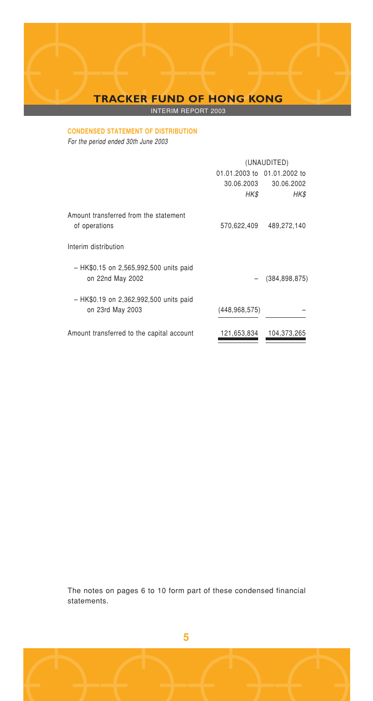INTERIM REPORT 2003

## **CONDENSED STATEMENT OF DISTRIBUTION**

For the period ended 30th June 2003

|                                                            | (UNAUDITED)                 |                   |  |
|------------------------------------------------------------|-----------------------------|-------------------|--|
|                                                            | 01.01.2003 to 01.01.2002 to |                   |  |
|                                                            | 30.06.2003                  | 30.06.2002        |  |
|                                                            | HK\$                        | HK\$              |  |
| Amount transferred from the statement<br>of operations     | 570,622,409                 | 489,272,140       |  |
| Interim distribution                                       |                             |                   |  |
| - HK\$0.15 on 2,565,992,500 units paid<br>on 22nd May 2002 |                             | $-$ (384,898,875) |  |
| - HK\$0.19 on 2,362,992,500 units paid<br>on 23rd May 2003 | (448, 968, 575)             |                   |  |
| Amount transferred to the capital account                  | 121.653.834                 | 104,373,265       |  |

The notes on pages 6 to 10 form part of these condensed financial statements.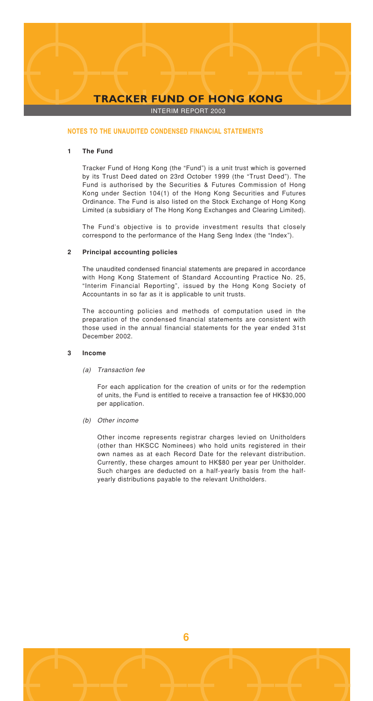INTERIM REPORT 2003

#### **NOTES TO THE UNAUDITED CONDENSED FINANCIAL STATEMENTS**

### **1 The Fund**

Tracker Fund of Hong Kong (the "Fund") is a unit trust which is governed by its Trust Deed dated on 23rd October 1999 (the "Trust Deed"). The Fund is authorised by the Securities & Futures Commission of Hong Kong under Section 104(1) of the Hong Kong Securities and Futures Ordinance. The Fund is also listed on the Stock Exchange of Hong Kong Limited (a subsidiary of The Hong Kong Exchanges and Clearing Limited).

The Fund's objective is to provide investment results that closely correspond to the performance of the Hang Seng Index (the "Index").

#### **2 Principal accounting policies**

The unaudited condensed financial statements are prepared in accordance with Hong Kong Statement of Standard Accounting Practice No. 25, "Interim Financial Reporting", issued by the Hong Kong Society of Accountants in so far as it is applicable to unit trusts.

The accounting policies and methods of computation used in the preparation of the condensed financial statements are consistent with those used in the annual financial statements for the year ended 31st December 2002.

#### **3 Income**

### (a) Transaction fee

For each application for the creation of units or for the redemption of units, the Fund is entitled to receive a transaction fee of HK\$30,000 per application.

(b) Other income

Other income represents registrar charges levied on Unitholders (other than HKSCC Nominees) who hold units registered in their own names as at each Record Date for the relevant distribution. Currently, these charges amount to HK\$80 per year per Unitholder. Such charges are deducted on a half-yearly basis from the halfyearly distributions payable to the relevant Unitholders.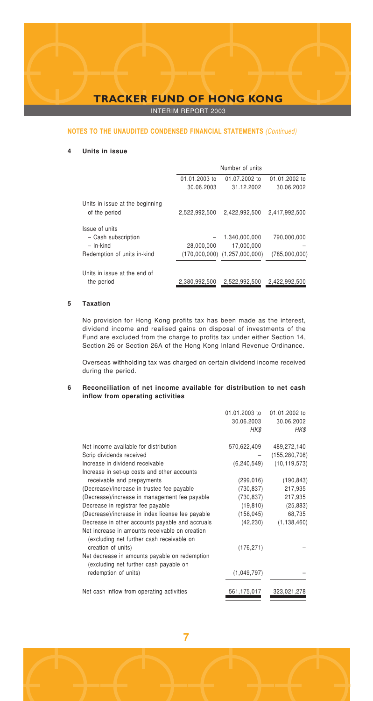INTERIM REPORT 2003

#### **NOTES TO THE UNAUDITED CONDENSED FINANCIAL STATEMENTS** (Continued)

### **4 Units in issue**

|                                 |               | Number of units                   |               |
|---------------------------------|---------------|-----------------------------------|---------------|
|                                 | 01.01.2003 to | 01.07.2002 to                     | 01.01.2002 to |
|                                 | 30.06.2003    | 31.12.2002                        | 30.06.2002    |
| Units in issue at the beginning |               |                                   |               |
| of the period                   | 2,522,992,500 | 2,422,992,500                     | 2.417.992.500 |
| Issue of units                  |               |                                   |               |
| - Cash subscription             |               | 1,340,000,000                     | 790,000,000   |
| $-$ In-kind                     | 28,000,000    | 17.000.000                        |               |
| Redemption of units in-kind     |               | $(170,000,000)$ $(1,257,000,000)$ | (785,000,000) |
| Units in issue at the end of    |               |                                   |               |
| the period                      | 2.380.992.500 | 2.522.992.500                     | 2.422.992.500 |

### **5 Taxation**

No provision for Hong Kong profits tax has been made as the interest, dividend income and realised gains on disposal of investments of the Fund are excluded from the charge to profits tax under either Section 14, Section 26 or Section 26A of the Hong Kong Inland Revenue Ordinance.

Overseas withholding tax was charged on certain dividend income received during the period.

#### **6 Reconciliation of net income available for distribution to net cash inflow from operating activities**

|                                                                                             | 01.01.2003 to<br>30.06.2003<br>HK\$ | 01.01.2002 to<br>30.06.2002<br>HK\$ |
|---------------------------------------------------------------------------------------------|-------------------------------------|-------------------------------------|
| Net income available for distribution                                                       | 570,622,409                         | 489,272,140                         |
| Scrip dividends received                                                                    |                                     | (155, 280, 708)                     |
| Increase in dividend receivable                                                             | (6, 240, 549)                       | (10, 119, 573)                      |
| Increase in set-up costs and other accounts                                                 |                                     |                                     |
| receivable and prepayments                                                                  | (299, 016)                          | (190, 843)                          |
| (Decrease)/increase in trustee fee payable                                                  | (730,837)                           | 217,935                             |
| (Decrease)/increase in management fee payable                                               | (730,837)                           | 217,935                             |
| Decrease in registrar fee payable                                                           | (19, 810)                           | (25, 883)                           |
| (Decrease)/increase in index license fee payable                                            | (158, 045)                          | 68,735                              |
| Decrease in other accounts payable and accruals                                             | (42, 230)                           | (1, 138, 460)                       |
| Net increase in amounts receivable on creation<br>(excluding net further cash receivable on |                                     |                                     |
| creation of units)                                                                          | (176, 271)                          |                                     |
| Net decrease in amounts payable on redemption<br>(excluding net further cash payable on     |                                     |                                     |
| redemption of units)                                                                        | (1,049,797)                         |                                     |
| Net cash inflow from operating activities                                                   | 561,175,017                         | 323,021,278                         |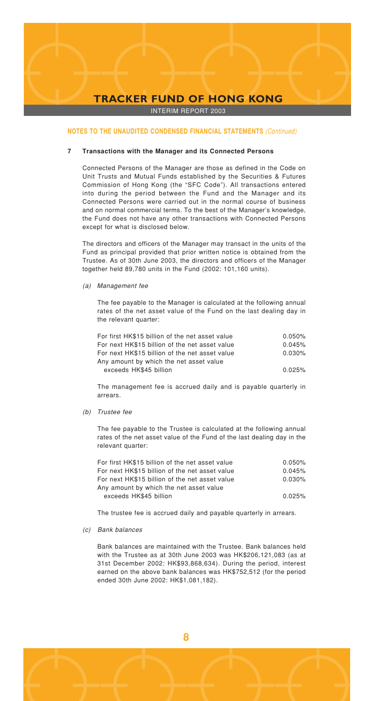INTERIM REPORT 2003

#### **NOTES TO THE UNAUDITED CONDENSED FINANCIAL STATEMENTS** (Continued)

#### **7 Transactions with the Manager and its Connected Persons**

Connected Persons of the Manager are those as defined in the Code on Unit Trusts and Mutual Funds established by the Securities & Futures Commission of Hong Kong (the "SFC Code"). All transactions entered into during the period between the Fund and the Manager and its Connected Persons were carried out in the normal course of business and on normal commercial terms. To the best of the Manager's knowledge, the Fund does not have any other transactions with Connected Persons except for what is disclosed below.

The directors and officers of the Manager may transact in the units of the Fund as principal provided that prior written notice is obtained from the Trustee. As of 30th June 2003, the directors and officers of the Manager together held 89,780 units in the Fund (2002: 101,160 units).

#### (a) Management fee

The fee payable to the Manager is calculated at the following annual rates of the net asset value of the Fund on the last dealing day in the relevant quarter:

| For first HK\$15 billion of the net asset value | 0.050% |
|-------------------------------------------------|--------|
| For next HK\$15 billion of the net asset value  | 0.045% |
| For next HK\$15 billion of the net asset value  | 0.030% |
| Any amount by which the net asset value         |        |
| exceeds HK\$45 billion                          | 0.025% |

The management fee is accrued daily and is payable quarterly in arrears.

(b) Trustee fee

The fee payable to the Trustee is calculated at the following annual rates of the net asset value of the Fund of the last dealing day in the relevant quarter:

| For first HK\$15 billion of the net asset value | 0.050% |
|-------------------------------------------------|--------|
| For next HK\$15 billion of the net asset value  | 0.045% |
| For next HK\$15 billion of the net asset value  | 0.030% |
| Any amount by which the net asset value         |        |
| exceeds HK\$45 billion                          | 0.025% |

The trustee fee is accrued daily and payable quarterly in arrears.

#### (c) Bank balances

Bank balances are maintained with the Trustee. Bank balances held with the Trustee as at 30th June 2003 was HK\$206,121,083 (as at 31st December 2002: HK\$93,868,634). During the period, interest earned on the above bank balances was HK\$752,512 (for the period ended 30th June 2002: HK\$1,081,182).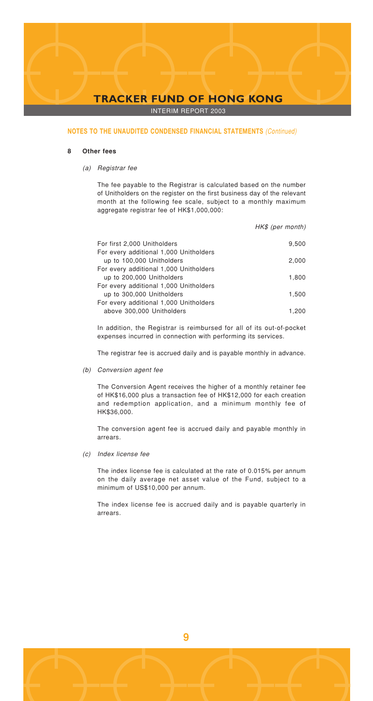INTERIM REPORT 2003

#### **NOTES TO THE UNAUDITED CONDENSED FINANCIAL STATEMENTS** (Continued)

#### **8 Other fees**

(a) Registrar fee

The fee payable to the Registrar is calculated based on the number of Unitholders on the register on the first business day of the relevant month at the following fee scale, subject to a monthly maximum aggregate registrar fee of HK\$1,000,000:

HK\$ (per month) For first 2,000 Unitholders 9,500 For every additional 1,000 Unitholders up to 100,000 Unitholders 2,000 For every additional 1,000 Unitholders up to 200,000 Unitholders 1,800 For every additional 1,000 Unitholders up to 300,000 Unitholders 1,500 For every additional 1,000 Unitholders above 300,000 Unitholders 1,200

In addition, the Registrar is reimbursed for all of its out-of-pocket expenses incurred in connection with performing its services.

The registrar fee is accrued daily and is payable monthly in advance.

(b) Conversion agent fee

The Conversion Agent receives the higher of a monthly retainer fee of HK\$16,000 plus a transaction fee of HK\$12,000 for each creation and redemption application, and a minimum monthly fee of HK\$36,000.

The conversion agent fee is accrued daily and payable monthly in arrears.

(c) Index license fee

The index license fee is calculated at the rate of 0.015% per annum on the daily average net asset value of the Fund, subject to a minimum of US\$10,000 per annum.

The index license fee is accrued daily and is payable quarterly in arrears.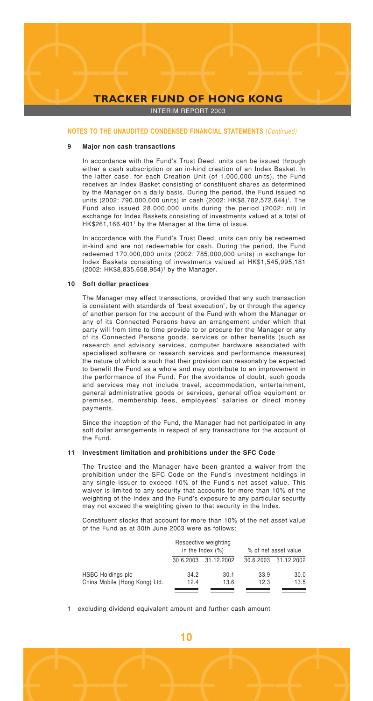INTERIM REPORT 2003

#### **NOTES TO THE UNAUDITED CONDENSED FINANCIAL STATEMENTS** (Continued)

#### **9 Major non cash transactions**

In accordance with the Fund's Trust Deed, units can be issued through either a cash subscription or an in-kind creation of an Index Basket. In the latter case, for each Creation Unit (of 1,000,000 units), the Fund receives an Index Basket consisting of constituent shares as determined by the Manager on a daily basis. During the period, the Fund issued no units (2002: 790,000,000 units) in cash (2002: HK\$8,782,572,644)<sup>1</sup>. The Fund also issued 28,000,000 units during the period (2002: nil) in exchange for Index Baskets consisting of investments valued at a total of HK\$261,166,4011 by the Manager at the time of issue.

In accordance with the Fund's Trust Deed, units can only be redeemed in-kind and are not redeemable for cash. During the period, the Fund redeemed 170,000,000 units (2002: 785,000,000 units) in exchange for Index Baskets consisting of investments valued at HK\$1,545,995,181 (2002: HK\$8,835,658,954)1 by the Manager.

#### **10 Soft dollar practices**

The Manager may effect transactions, provided that any such transaction is consistent with standards of "best execution", by or through the agency of another person for the account of the Fund with whom the Manager or any of its Connected Persons have an arrangement under which that party will from time to time provide to or procure for the Manager or any of its Connected Persons goods, services or other benefits (such as research and advisory services, computer hardware associated with specialised software or research services and performance measures) the nature of which is such that their provision can reasonably be expected to benefit the Fund as a whole and may contribute to an improvement in the performance of the Fund. For the avoidance of doubt, such goods and services may not include travel, accommodation, entertainment, general administrative goods or services, general office equipment or premises, membership fees, employees' salaries or direct money payments.

Since the inception of the Fund, the Manager had not participated in any soft dollar arrangements in respect of any transactions for the account of the Fund.

#### **11 Investment limitation and prohibitions under the SFC Code**

The Trustee and the Manager have been granted a waiver from the prohibition under the SFC Code on the Fund's investment holdings in any single issuer to exceed 10% of the Fund's net asset value. This waiver is limited to any security that accounts for more than 10% of the weighting of the Index and the Fund's exposure to any particular security may not exceed the weighting given to that security in the Index.

Constituent stocks that account for more than 10% of the net asset value of the Fund as at 30th June 2003 were as follows:

|                               | Respective weighting<br>in the Index $(\%)$ |            |           | % of net asset value |
|-------------------------------|---------------------------------------------|------------|-----------|----------------------|
|                               | 30.6.2003                                   | 31.12.2002 | 30.6.2003 | 31.12.2002           |
| <b>HSBC Holdings plc</b>      | 34.2                                        | 30.1       | 33.9      | 30.0                 |
| China Mobile (Hong Kong) Ltd. | 12.4                                        | 13.6       | 12.3      | 13.5                 |

excluding dividend equivalent amount and further cash amount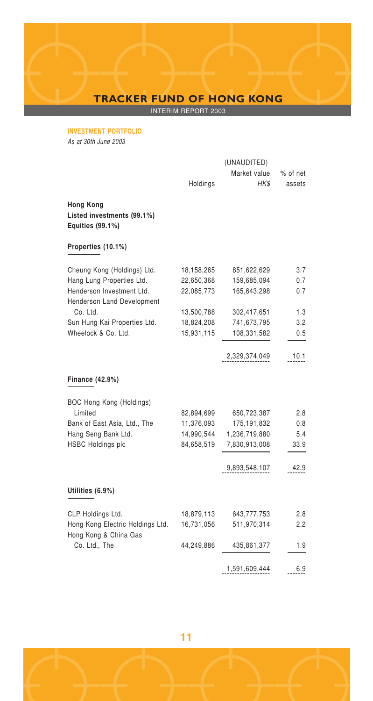INTERIM REPORT 2003

**INVESTMENT PORTFOLIO**

As at 30th June 2003

|                                                                    |            | (UNAUDITED)   |          |
|--------------------------------------------------------------------|------------|---------------|----------|
|                                                                    |            | Market value  | % of net |
|                                                                    | Holdings   | HK\$          | assets   |
| <b>Hong Kong</b><br>Listed investments (99.1%)<br>Equities (99.1%) |            |               |          |
| Properties (10.1%)                                                 |            |               |          |
| Cheung Kong (Holdings) Ltd.                                        | 18,158,265 | 851,622,629   | 3.7      |
| Hang Lung Properties Ltd.                                          | 22,650,368 | 159,685,094   | 0.7      |
| Henderson Investment Ltd.<br>Henderson Land Development            | 22,085,773 | 165,643,298   | 0.7      |
| Co. Ltd.                                                           | 13,500,788 | 302,417,651   | 1.3      |
| Sun Hung Kai Properties Ltd.                                       | 18,824,208 | 741,673,795   | 3.2      |
| Wheelock & Co. Ltd.                                                | 15,931,115 | 108,331,582   | 0.5      |
|                                                                    |            | 2,329,374,049 | 10.1     |
| Finance (42.9%)                                                    |            |               |          |
| BOC Hong Kong (Holdings)                                           |            |               |          |
| Limited                                                            | 82,894,699 | 650,723,387   | 2.8      |
| Bank of East Asia, Ltd., The                                       | 11,376,093 | 175,191,832   | 0.8      |
| Hang Seng Bank Ltd.                                                | 14,990,544 | 1,236,719,880 | 5.4      |
| <b>HSBC Holdings plc</b>                                           | 84,658,519 | 7,830,913,008 | 33.9     |
|                                                                    |            | 9,893,548,107 | 42.9     |
| Utilities (6.9%)                                                   |            |               |          |
| CLP Holdings Ltd.                                                  | 18,879,113 | 643,777,753   | 2.8      |
| Hong Kong Electric Holdings Ltd.                                   | 16,731,056 | 511,970,314   | 2.2      |
| Hong Kong & China Gas                                              |            |               |          |
| Co. Ltd., The                                                      | 44,249,886 | 435,861,377   | 1.9      |
|                                                                    |            | 1,591,609,444 | 6.9      |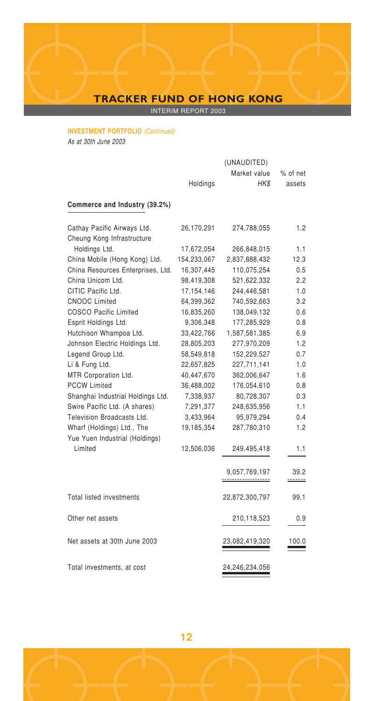INTERIM REPORT 2003

# **INVESTMENT PORTFOLIO** (Continued)

As at 30th June 2003

|                                   |              | (UNAUDITED)                                 |                         |
|-----------------------------------|--------------|---------------------------------------------|-------------------------|
|                                   |              | Market value                                | % of net                |
|                                   | Holdings     | HK\$                                        | assets                  |
| Commerce and Industry (39.2%)     |              |                                             |                         |
| Cathay Pacific Airways Ltd.       | 26,170,291   | 274,788,055                                 | 1.2                     |
| Cheung Kong Infrastructure        |              |                                             |                         |
| Holdings Ltd.                     | 17,672,054   | 266,848,015                                 | 1.1                     |
| China Mobile (Hong Kong) Ltd.     | 154,233,067  | 2,837,888,432                               | 12.3                    |
| China Resources Enterprises, Ltd. | 16,307,445   | 110,075,254                                 | 0.5                     |
| China Unicom Ltd.                 | 98,419,308   | 521,622,332                                 | 2.2                     |
| CITIC Pacific Ltd.                | 17, 154, 146 | 244,446,581                                 | 1.0                     |
| <b>CNOOC Limited</b>              | 64,399,362   | 740,592,663                                 | 3.2                     |
| <b>COSCO Pacific Limited</b>      | 16.835.260   | 138,049,132                                 | 0.6                     |
| Esprit Holdings Ltd.              | 9,306,348    | 177,285,929                                 | 0.8                     |
| Hutchison Whampoa Ltd.            | 33,422,766   | 1,587,581,385                               | 6.9                     |
| Johnson Electric Holdings Ltd.    | 28,805,203   | 277,970,209                                 | 1.2                     |
| Legend Group Ltd.                 | 58,549,818   | 152,229,527                                 | 0.7                     |
| Li & Fung Ltd.                    | 22,657,825   | 227,711,141                                 | 1.0                     |
| MTR Corporation Ltd.              | 40,447,670   | 362,006,647                                 | 1.6                     |
| <b>PCCW Limited</b>               | 36,488,002   | 176,054,610                                 | 0.8                     |
| Shanghai Industrial Holdings Ltd. | 7,338,937    | 80,728,307                                  | 0.3                     |
| Swire Pacific Ltd. (A shares)     | 7,291,377    | 248,635,956                                 | 1.1                     |
| Television Broadcasts Ltd.        | 3,433,964    | 95,979,294                                  | 0.4                     |
| Wharf (Holdings) Ltd., The        | 19,185,354   | 287,780,310                                 | 1.2                     |
| Yue Yuen Industrial (Holdings)    |              |                                             |                         |
| Limited                           | 12,506,036   | 249,495,418                                 | 1.1                     |
|                                   |              | 9,057,769,197<br><u>-------------------</u> | 39.2<br><u> -------</u> |
| <b>Total listed investments</b>   |              | 22,872,300,797                              | 99.1                    |
| Other net assets                  |              | 210,118,523                                 | 0.9                     |
| Net assets at 30th June 2003      |              | 23,082,419,320                              | 100.0                   |
| Total investments, at cost        |              | 24,246,234,056                              |                         |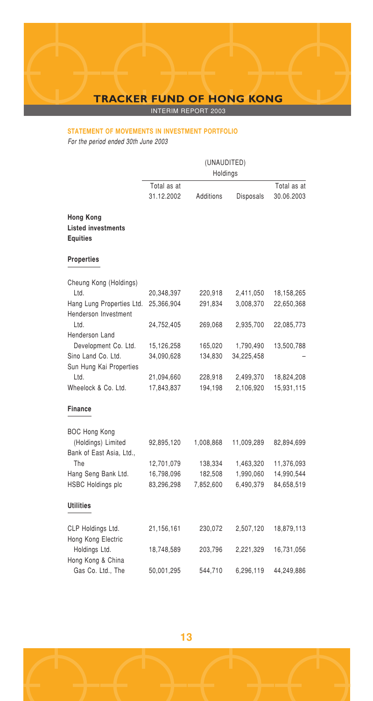INTERIM REPORT 2003

## **STATEMENT OF MOVEMENTS IN INVESTMENT PORTFOLIO**

For the period ended 30th June 2003

|                                                                  | (UNAUDITED)<br>Holdings   |           |            |                           |  |
|------------------------------------------------------------------|---------------------------|-----------|------------|---------------------------|--|
|                                                                  | Total as at<br>31.12.2002 | Additions | Disposals  | Total as at<br>30.06.2003 |  |
| <b>Hong Kong</b><br><b>Listed investments</b><br><b>Equities</b> |                           |           |            |                           |  |
| <b>Properties</b>                                                |                           |           |            |                           |  |
| Cheung Kong (Holdings)                                           |                           |           |            |                           |  |
| Ltd.                                                             | 20,348,397                | 220,918   | 2,411,050  | 18,158,265                |  |
| Hang Lung Properties Ltd.<br>Henderson Investment                | 25,366,904                | 291,834   | 3,008,370  | 22,650,368                |  |
| Ltd.                                                             | 24,752,405                | 269,068   | 2,935,700  | 22,085,773                |  |
| Henderson Land                                                   |                           |           |            |                           |  |
| Development Co. Ltd.                                             | 15,126,258                | 165,020   | 1,790,490  | 13,500,788                |  |
| Sino Land Co. Ltd.                                               | 34,090,628                | 134,830   | 34,225,458 |                           |  |
| Sun Hung Kai Properties                                          |                           |           |            |                           |  |
| Ltd.                                                             | 21,094,660                | 228,918   | 2,499,370  | 18,824,208                |  |
| Wheelock & Co. Ltd.                                              | 17,843,837                | 194,198   | 2,106,920  | 15,931,115                |  |
| Finance                                                          |                           |           |            |                           |  |
| <b>BOC Hong Kong</b>                                             |                           |           |            |                           |  |
| (Holdings) Limited<br>Bank of East Asia, Ltd.,                   | 92,895,120                | 1,008,868 | 11,009,289 | 82,894,699                |  |
| The                                                              | 12,701,079                | 138,334   | 1,463,320  | 11,376,093                |  |
| Hang Seng Bank Ltd.                                              | 16,798,096                | 182,508   | 1,990,060  | 14,990,544                |  |
| <b>HSBC Holdings plc</b>                                         | 83,296,298                | 7,852,600 | 6,490,379  | 84,658,519                |  |
| Utilities                                                        |                           |           |            |                           |  |
| CLP Holdings Ltd.                                                | 21,156,161                | 230,072   | 2,507,120  | 18,879,113                |  |
| Hong Kong Electric                                               |                           |           |            |                           |  |
| Holdings Ltd.                                                    | 18,748,589                | 203,796   | 2,221,329  | 16,731,056                |  |
| Hong Kong & China                                                |                           |           |            |                           |  |
| Gas Co. Ltd., The                                                | 50,001,295                | 544,710   | 6,296,119  | 44,249,886                |  |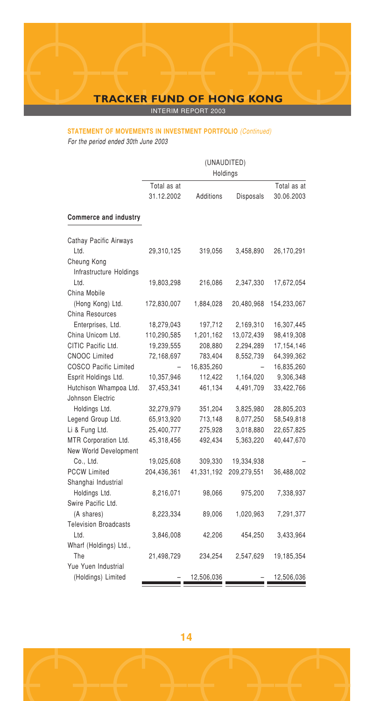INTERIM REPORT 2003

# **STATEMENT OF MOVEMENTS IN INVESTMENT PORTFOLIO** (Continued)

For the period ended 30th June 2003

|                              | (UNAUDITED)<br>Holdings |            |             |              |  |
|------------------------------|-------------------------|------------|-------------|--------------|--|
|                              | Total as at             |            |             | Total as at  |  |
|                              | 31.12.2002              | Additions  | Disposals   | 30.06.2003   |  |
| Commerce and industry        |                         |            |             |              |  |
| Cathay Pacific Airways       |                         |            |             |              |  |
| Ltd.                         | 29,310,125              | 319,056    | 3,458,890   | 26,170,291   |  |
| Cheung Kong                  |                         |            |             |              |  |
| Infrastructure Holdings      |                         |            |             |              |  |
| Ltd.                         | 19,803,298              | 216,086    | 2,347,330   | 17,672,054   |  |
| China Mobile                 |                         |            |             |              |  |
| (Hong Kong) Ltd.             | 172,830,007             | 1,884,028  | 20,480,968  | 154,233,067  |  |
| China Resources              |                         |            |             |              |  |
| Enterprises, Ltd.            | 18,279,043              | 197,712    | 2,169,310   | 16,307,445   |  |
| China Unicom Ltd.            | 110,290,585             | 1,201,162  | 13,072,439  | 98,419,308   |  |
| CITIC Pacific Ltd.           | 19,239,555              | 208,880    | 2,294,289   | 17, 154, 146 |  |
| <b>CNOOC Limited</b>         | 72,168,697              | 783,404    | 8,552,739   | 64,399,362   |  |
| <b>COSCO Pacific Limited</b> |                         | 16,835,260 |             | 16,835,260   |  |
| Esprit Holdings Ltd.         | 10,357,946              | 112,422    | 1,164,020   | 9,306,348    |  |
| Hutchison Whampoa Ltd.       | 37,453,341              | 461,134    | 4,491,709   | 33,422,766   |  |
| Johnson Electric             |                         |            |             |              |  |
| Holdings Ltd.                | 32,279,979              | 351,204    | 3,825,980   | 28,805,203   |  |
| Legend Group Ltd.            | 65,913,920              | 713,148    | 8,077,250   | 58,549,818   |  |
| Li & Fung Ltd.               | 25,400,777              | 275,928    | 3,018,880   | 22,657,825   |  |
| MTR Corporation Ltd.         | 45,318,456              | 492,434    | 5,363,220   | 40,447,670   |  |
| New World Development        |                         |            |             |              |  |
| Co., Ltd.                    | 19,025,608              | 309,330    | 19,334,938  |              |  |
| <b>PCCW Limited</b>          | 204,436,361             | 41,331,192 | 209,279,551 | 36,488,002   |  |
| Shanghai Industrial          |                         |            |             |              |  |
| Holdings Ltd.                | 8,216,071               | 98,066     | 975,200     | 7,338,937    |  |
| Swire Pacific Ltd.           |                         |            |             |              |  |
| (A shares)                   | 8,223,334               | 89,006     | 1,020,963   | 7,291,377    |  |
| <b>Television Broadcasts</b> |                         |            |             |              |  |
| Ltd.                         | 3,846,008               | 42,206     | 454,250     | 3,433,964    |  |
| Wharf (Holdings) Ltd.,       |                         |            |             |              |  |
| The                          | 21,498,729              | 234,254    | 2,547,629   | 19,185,354   |  |
| Yue Yuen Industrial          |                         |            |             |              |  |
| (Holdings) Limited           |                         | 12,506,036 |             | 12,506,036   |  |